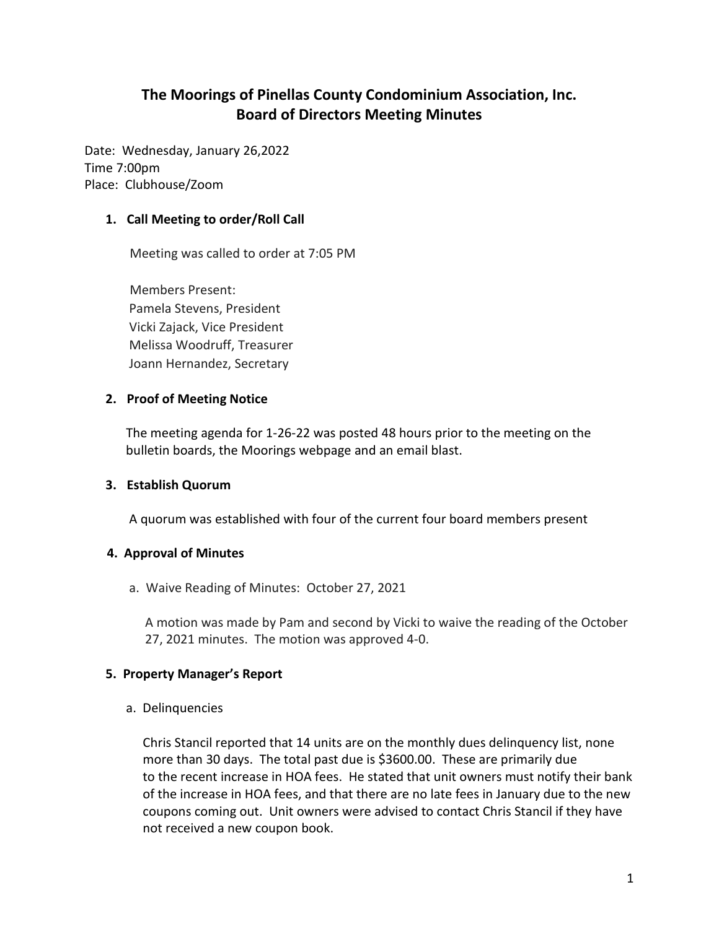# **The Moorings of Pinellas County Condominium Association, Inc. Board of Directors Meeting Minutes**

Date: Wednesday, January 26,2022 Time 7:00pm Place: Clubhouse/Zoom

### **1. Call Meeting to order/Roll Call**

Meeting was called to order at 7:05 PM

Members Present: Pamela Stevens, President Vicki Zajack, Vice President Melissa Woodruff, Treasurer Joann Hernandez, Secretary

#### **2. Proof of Meeting Notice**

 The meeting agenda for 1-26-22 was posted 48 hours prior to the meeting on the bulletin boards, the Moorings webpage and an email blast.

#### **3. Establish Quorum**

A quorum was established with four of the current four board members present

### **4. Approval of Minutes**

a. Waive Reading of Minutes: October 27, 2021

 A motion was made by Pam and second by Vicki to waive the reading of the October 27, 2021 minutes. The motion was approved 4-0.

### **5. Property Manager's Report**

a. Delinquencies

 Chris Stancil reported that 14 units are on the monthly dues delinquency list, none more than 30 days. The total past due is \$3600.00. These are primarily due to the recent increase in HOA fees. He stated that unit owners must notify their bank of the increase in HOA fees, and that there are no late fees in January due to the new coupons coming out. Unit owners were advised to contact Chris Stancil if they have not received a new coupon book.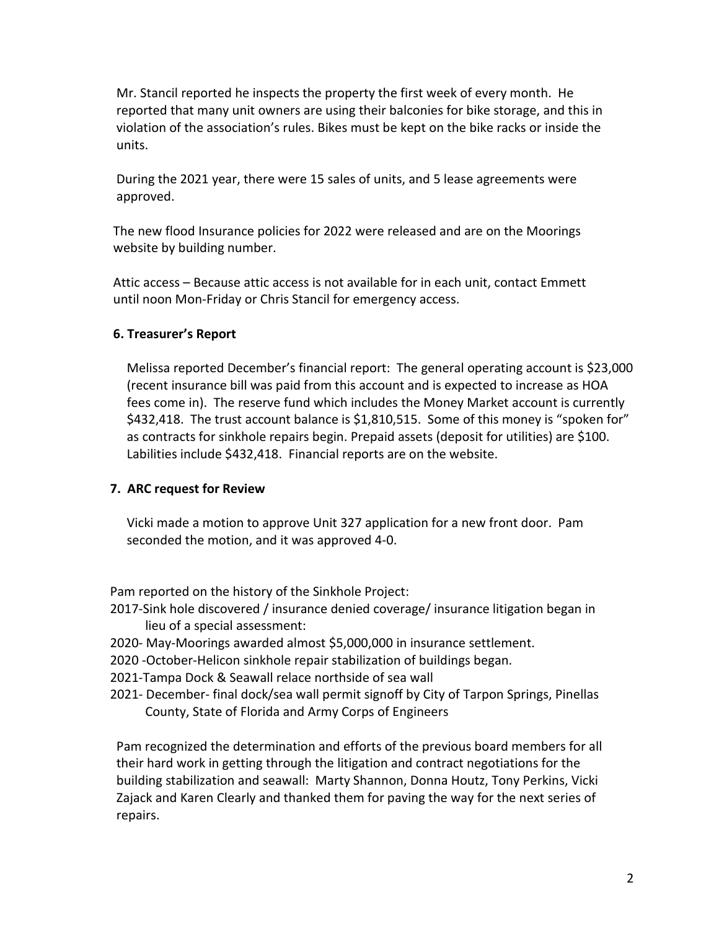Mr. Stancil reported he inspects the property the first week of every month. He reported that many unit owners are using their balconies for bike storage, and this in violation of the association's rules. Bikes must be kept on the bike racks or inside the units.

 During the 2021 year, there were 15 sales of units, and 5 lease agreements were approved.

 The new flood Insurance policies for 2022 were released and are on the Moorings website by building number.

 Attic access – Because attic access is not available for in each unit, contact Emmett until noon Mon-Friday or Chris Stancil for emergency access.

### **6. Treasurer's Report**

Melissa reported December's financial report: The general operating account is \$23,000 (recent insurance bill was paid from this account and is expected to increase as HOA fees come in). The reserve fund which includes the Money Market account is currently \$432,418. The trust account balance is \$1,810,515. Some of this money is "spoken for" as contracts for sinkhole repairs begin. Prepaid assets (deposit for utilities) are \$100. Labilities include \$432,418. Financial reports are on the website.

# **7. ARC request for Review**

Vicki made a motion to approve Unit 327 application for a new front door. Pam seconded the motion, and it was approved 4-0.

Pam reported on the history of the Sinkhole Project:

- 2017-Sink hole discovered / insurance denied coverage/ insurance litigation began in lieu of a special assessment:
- 2020- May-Moorings awarded almost \$5,000,000 in insurance settlement.
- 2020 -October-Helicon sinkhole repair stabilization of buildings began.
- 2021-Tampa Dock & Seawall relace northside of sea wall
- 2021- December- final dock/sea wall permit signoff by City of Tarpon Springs, Pinellas County, State of Florida and Army Corps of Engineers

 Pam recognized the determination and efforts of the previous board members for all their hard work in getting through the litigation and contract negotiations for the building stabilization and seawall: Marty Shannon, Donna Houtz, Tony Perkins, Vicki Zajack and Karen Clearly and thanked them for paving the way for the next series of repairs.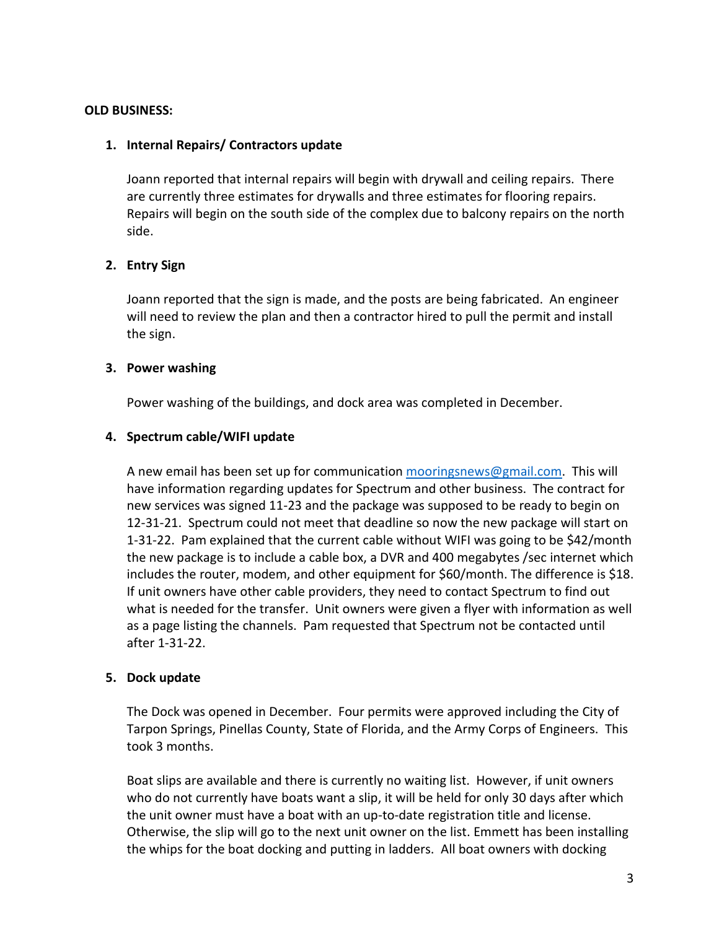### **OLD BUSINESS:**

### **1. Internal Repairs/ Contractors update**

Joann reported that internal repairs will begin with drywall and ceiling repairs. There are currently three estimates for drywalls and three estimates for flooring repairs. Repairs will begin on the south side of the complex due to balcony repairs on the north side.

### **2. Entry Sign**

Joann reported that the sign is made, and the posts are being fabricated. An engineer will need to review the plan and then a contractor hired to pull the permit and install the sign.

#### **3. Power washing**

Power washing of the buildings, and dock area was completed in December.

#### **4. Spectrum cable/WIFI update**

A new email has been set up for communication [mooringsnews@gmail.com.](mailto:mooringsnews@gmail.com) This will have information regarding updates for Spectrum and other business. The contract for new services was signed 11-23 and the package was supposed to be ready to begin on 12-31-21. Spectrum could not meet that deadline so now the new package will start on 1-31-22. Pam explained that the current cable without WIFI was going to be \$42/month the new package is to include a cable box, a DVR and 400 megabytes /sec internet which includes the router, modem, and other equipment for \$60/month. The difference is \$18. If unit owners have other cable providers, they need to contact Spectrum to find out what is needed for the transfer. Unit owners were given a flyer with information as well as a page listing the channels. Pam requested that Spectrum not be contacted until after 1-31-22.

### **5. Dock update**

The Dock was opened in December. Four permits were approved including the City of Tarpon Springs, Pinellas County, State of Florida, and the Army Corps of Engineers. This took 3 months.

Boat slips are available and there is currently no waiting list. However, if unit owners who do not currently have boats want a slip, it will be held for only 30 days after which the unit owner must have a boat with an up-to-date registration title and license. Otherwise, the slip will go to the next unit owner on the list. Emmett has been installing the whips for the boat docking and putting in ladders. All boat owners with docking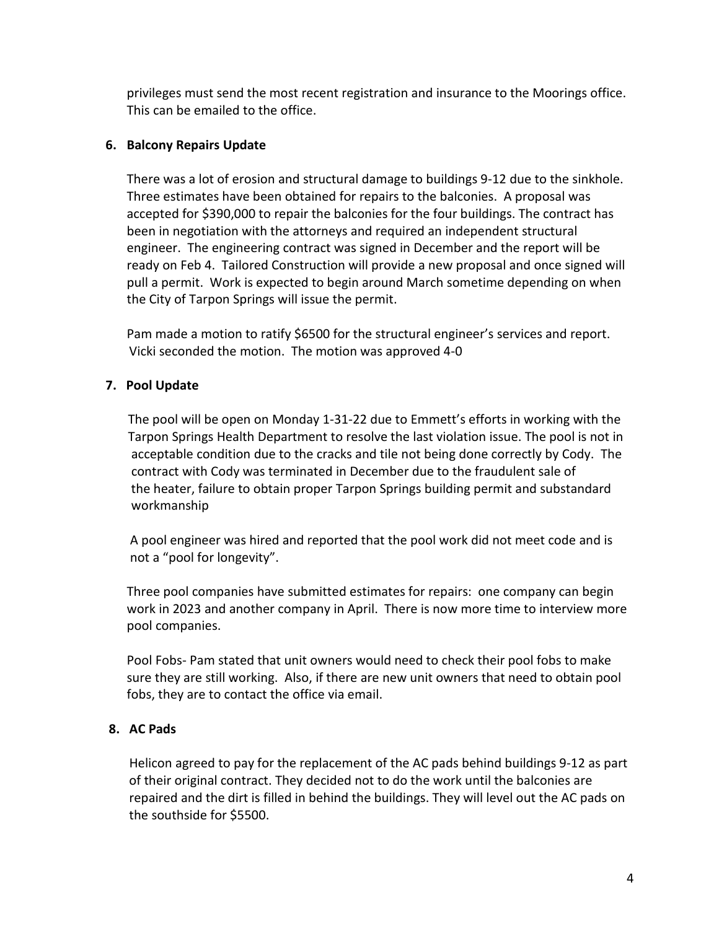privileges must send the most recent registration and insurance to the Moorings office. This can be emailed to the office.

# **6. Balcony Repairs Update**

There was a lot of erosion and structural damage to buildings 9-12 due to the sinkhole. Three estimates have been obtained for repairs to the balconies. A proposal was accepted for \$390,000 to repair the balconies for the four buildings. The contract has been in negotiation with the attorneys and required an independent structural engineer. The engineering contract was signed in December and the report will be ready on Feb 4. Tailored Construction will provide a new proposal and once signed will pull a permit. Work is expected to begin around March sometime depending on when the City of Tarpon Springs will issue the permit.

Pam made a motion to ratify \$6500 for the structural engineer's services and report. Vicki seconded the motion. The motion was approved 4-0

# **7. Pool Update**

The pool will be open on Monday 1-31-22 due to Emmett's efforts in working with the Tarpon Springs Health Department to resolve the last violation issue. The pool is not in acceptable condition due to the cracks and tile not being done correctly by Cody. The contract with Cody was terminated in December due to the fraudulent sale of the heater, failure to obtain proper Tarpon Springs building permit and substandard workmanship

A pool engineer was hired and reported that the pool work did not meet code and is not a "pool for longevity".

Three pool companies have submitted estimates for repairs: one company can begin work in 2023 and another company in April. There is now more time to interview more pool companies.

Pool Fobs- Pam stated that unit owners would need to check their pool fobs to make sure they are still working. Also, if there are new unit owners that need to obtain pool fobs, they are to contact the office via email.

# **8. AC Pads**

 Helicon agreed to pay for the replacement of the AC pads behind buildings 9-12 as part of their original contract. They decided not to do the work until the balconies are repaired and the dirt is filled in behind the buildings. They will level out the AC pads on the southside for \$5500.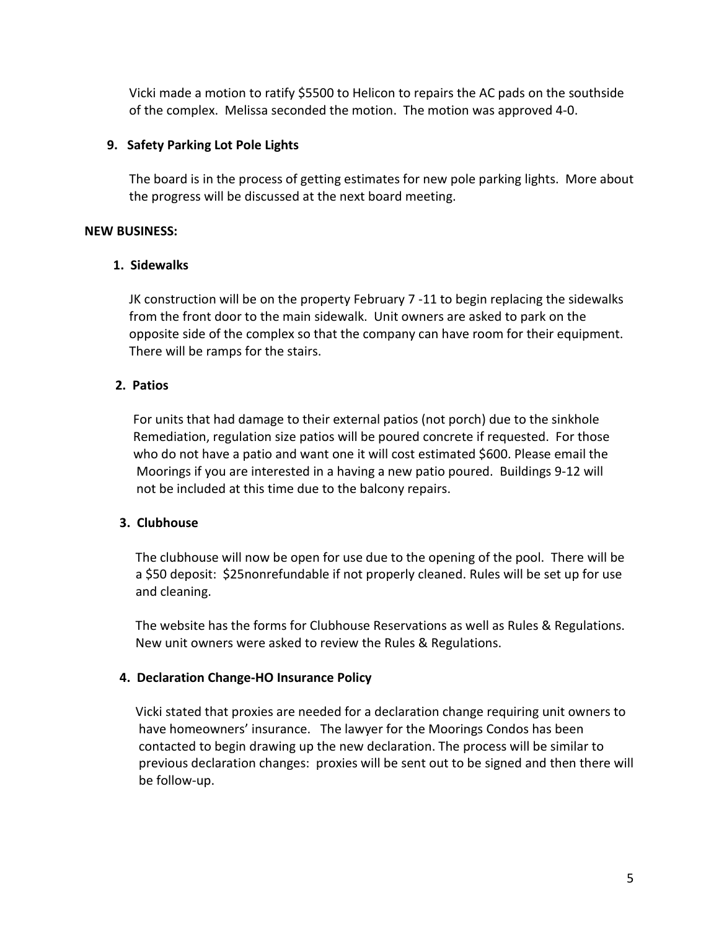Vicki made a motion to ratify \$5500 to Helicon to repairs the AC pads on the southside of the complex. Melissa seconded the motion. The motion was approved 4-0.

# **9. Safety Parking Lot Pole Lights**

 The board is in the process of getting estimates for new pole parking lights. More about the progress will be discussed at the next board meeting.

### **NEW BUSINESS:**

### **1. Sidewalks**

 JK construction will be on the property February 7 -11 to begin replacing the sidewalks from the front door to the main sidewalk. Unit owners are asked to park on the opposite side of the complex so that the company can have room for their equipment. There will be ramps for the stairs.

### **2. Patios**

 For units that had damage to their external patios (not porch) due to the sinkhole Remediation, regulation size patios will be poured concrete if requested. For those who do not have a patio and want one it will cost estimated \$600. Please email the Moorings if you are interested in a having a new patio poured. Buildings 9-12 will not be included at this time due to the balcony repairs.

# **3. Clubhouse**

 The clubhouse will now be open for use due to the opening of the pool. There will be a \$50 deposit: \$25nonrefundable if not properly cleaned. Rules will be set up for use and cleaning.

 The website has the forms for Clubhouse Reservations as well as Rules & Regulations. New unit owners were asked to review the Rules & Regulations.

### **4. Declaration Change-HO Insurance Policy**

 Vicki stated that proxies are needed for a declaration change requiring unit owners to have homeowners' insurance. The lawyer for the Moorings Condos has been contacted to begin drawing up the new declaration. The process will be similar to previous declaration changes: proxies will be sent out to be signed and then there will be follow-up.